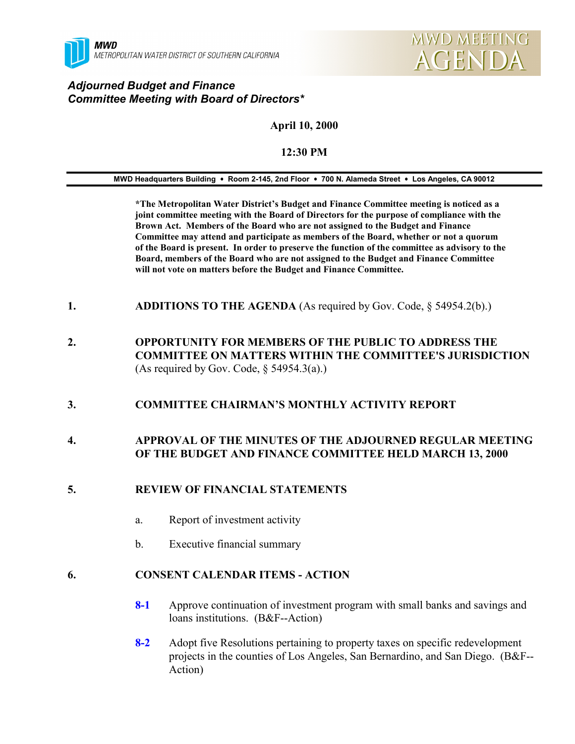

## *Adjourned Budget and Finance Committee Meeting with Board of Directors\**

# **April 10, 2000**

### **12:30 PM**

#### **MWD Headquarters Building** ! **Room 2-145, 2nd Floor** ! **700 N. Alameda Street** ! **Los Angeles, CA 90012**

**\*The Metropolitan Water District's Budget and Finance Committee meeting is noticed as a joint committee meeting with the Board of Directors for the purpose of compliance with the Brown Act. Members of the Board who are not assigned to the Budget and Finance Committee may attend and participate as members of the Board, whether or not a quorum of the Board is present. In order to preserve the function of the committee as advisory to the Board, members of the Board who are not assigned to the Budget and Finance Committee will not vote on matters before the Budget and Finance Committee.**

- **1. ADDITIONS TO THE AGENDA** (As required by Gov. Code, § 54954.2(b).)
- **2. OPPORTUNITY FOR MEMBERS OF THE PUBLIC TO ADDRESS THE COMMITTEE ON MATTERS WITHIN THE COMMITTEE'S JURISDICTION** (As required by Gov. Code,  $\S$  54954.3(a).)

### **3. COMMITTEE CHAIRMAN'S MONTHLY ACTIVITY REPORT**

### **4. APPROVAL OF THE MINUTES OF THE ADJOURNED REGULAR MEETING OF THE BUDGET AND FINANCE COMMITTEE HELD MARCH 13, 2000**

### **5. REVIEW OF FINANCIAL STATEMENTS**

- a. Report of investment activity
- b. Executive financial summary

### **6. CONSENT CALENDAR ITEMS - ACTION**

- **8-1** Approve continuation of investment program with small banks and savings and loans institutions. (B&F--Action)
- **8-2** Adopt five Resolutions pertaining to property taxes on specific redevelopment projects in the counties of Los Angeles, San Bernardino, and San Diego. (B&F-- Action)